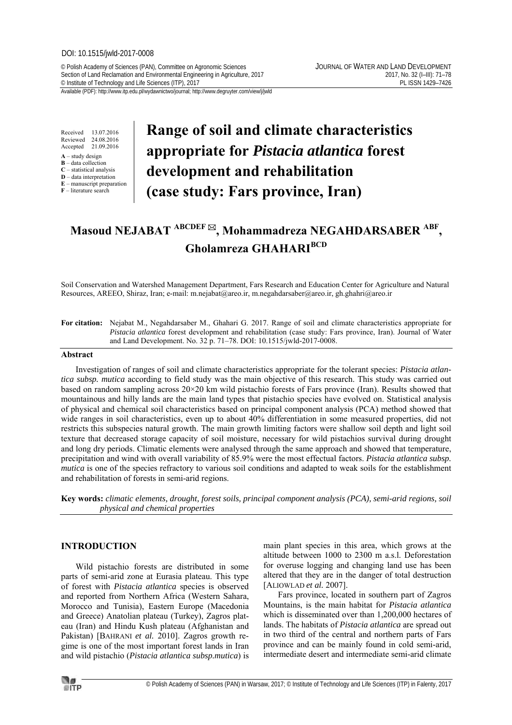#### DOI: 10.1515/jwld-2017-0008

© Polish Academy of Sciences (PAN), Committee on Agronomic Sciences JOURNAL OF WATER AND LAND DEVELOPMENT Section of Land Reclamation and Environmental Engineering in Agriculture, 2017 2017, 2017 2017, No. 32 (I–III): 71–78<br>El ISSN 1429–7426 PL ISSN 1429–7426 <sup>©</sup> Institute of Technology and Life Sciences (ITP), 2017

Received 13.07.2016 Reviewed 24.08.2016<br>Accented 21.09.2016 Accepted

- **A** study design
- **B** data collection **C** – statistical analysis
- **D** data interpretation
- **E** manuscript preparation
- **F** literature search

# **Range of soil and climate characteristics appropriate for** *Pistacia atlantica* **forest development and rehabilitation (case study: Fars province, Iran)**

# **Masoud NEJABAT ABCDEF , Mohammadreza NEGAHDARSABER ABF , Gholamreza GHAHARIBCD**

Soil Conservation and Watershed Management Department, Fars Research and Education Center for Agriculture and Natural Resources, AREEO, Shiraz, Iran; e-mail: m.nejabat@areo.ir, m.negahdarsaber@areo.ir, gh.ghahri@areo.ir

**For citation:** Nejabat M., Negahdarsaber M., Ghahari G. 2017. Range of soil and climate characteristics appropriate for *Pistacia atlantica* forest development and rehabilitation (case study: Fars province, Iran). Journal of Water and Land Development. No. 32 p. 71–78. DOI: 10.1515/jwld-2017-0008.

#### **Abstract**

Investigation of ranges of soil and climate characteristics appropriate for the tolerant species: *Pistacia atlantica subsp. mutica* according to field study was the main objective of this research. This study was carried out based on random sampling across 20×20 km wild pistachio forests of Fars province (Iran). Results showed that mountainous and hilly lands are the main land types that pistachio species have evolved on. Statistical analysis of physical and chemical soil characteristics based on principal component analysis (PCA) method showed that wide ranges in soil characteristics, even up to about 40% differentiation in some measured properties, did not restricts this subspecies natural growth. The main growth limiting factors were shallow soil depth and light soil texture that decreased storage capacity of soil moisture, necessary for wild pistachios survival during drought and long dry periods. Climatic elements were analysed through the same approach and showed that temperature, precipitation and wind with overall variability of 85.9% were the most effectual factors. *Pistacia atlantica subsp. mutica* is one of the species refractory to various soil conditions and adapted to weak soils for the establishment and rehabilitation of forests in semi-arid regions.

**Key words:** *climatic elements, drought, forest soils, principal component analysis (PCA), semi-arid regions, soil physical and chemical properties* 

# **INTRODUCTION**

Wild pistachio forests are distributed in some parts of semi-arid zone at Eurasia plateau. This type of forest with *Pistacia atlantica* species is observed and reported from Northern Africa (Western Sahara, Morocco and Tunisia), Eastern Europe (Macedonia and Greece) Anatolian plateau (Turkey), Zagros plateau (Iran) and Hindu Kush plateau (Afghanistan and Pakistan) [BAHRANI *et al.* 2010]. Zagros growth regime is one of the most important forest lands in Iran and wild pistachio (*Pistacia atlantica subsp.mutica*) is main plant species in this area, which grows at the altitude between 1000 to 2300 m a.s.l. Deforestation for overuse logging and changing land use has been altered that they are in the danger of total destruction [ALIOWLAD *et al.* 2007].

Fars province, located in southern part of Zagros Mountains, is the main habitat for *Pistacia atlantica*  which is disseminated over than 1,200,000 hectares of lands. The habitats of *Pistacia atlantica* are spread out in two third of the central and northern parts of Fars province and can be mainly found in cold semi-arid, intermediate desert and intermediate semi-arid climate

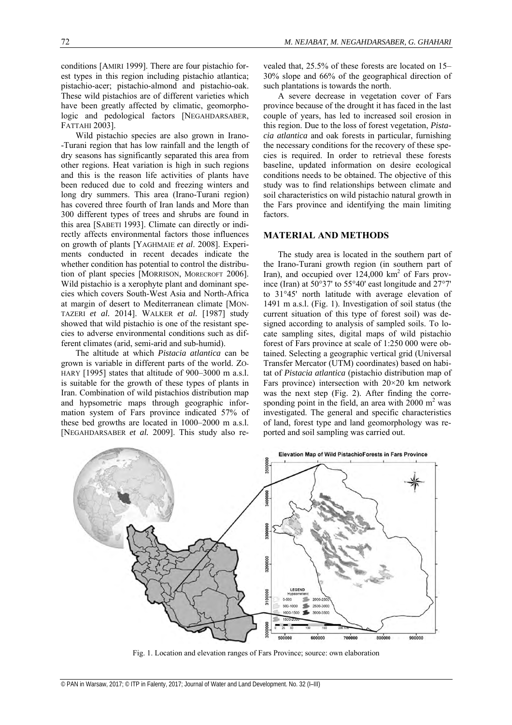conditions [AMIRI 1999]. There are four pistachio forest types in this region including pistachio atlantica; pistachio-acer; pistachio-almond and pistachio-oak. These wild pistachios are of different varieties which have been greatly affected by climatic, geomorphologic and pedological factors [NEGAHDARSABER, FATTAHI 2003].

Wild pistachio species are also grown in Irano- -Turani region that has low rainfall and the length of dry seasons has significantly separated this area from other regions. Heat variation is high in such regions and this is the reason life activities of plants have been reduced due to cold and freezing winters and long dry summers. This area (Irano-Turani region) has covered three fourth of Iran lands and More than 300 different types of trees and shrubs are found in this area [SABETI 1993]. Climate can directly or indirectly affects environmental factors those influences on growth of plants [YAGHMAIE *et al*. 2008]. Experiments conducted in recent decades indicate the whether condition has potential to control the distribution of plant species [MORRISON, MORECROFT 2006]. Wild pistachio is a xerophyte plant and dominant species which covers South-West Asia and North-Africa at margin of desert to Mediterranean climate [MON-TAZERI *et al.* 2014]. WALKER *et al.* [1987] study showed that wild pistachio is one of the resistant species to adverse environmental conditions such as different climates (arid, semi-arid and sub-humid).

The altitude at which *Pistacia atlantica* can be grown is variable in different parts of the world. ZO-HARY [1995] states that altitude of 900–3000 m a.s.l. is suitable for the growth of these types of plants in Iran. Combination of wild pistachios distribution map and hypsometric maps through geographic information system of Fars province indicated 57% of these bed growths are located in 1000–2000 m a.s.l. [NEGAHDARSABER *et al.* 2009]. This study also revealed that, 25.5% of these forests are located on 15– 30% slope and 66% of the geographical direction of such plantations is towards the north.

A severe decrease in vegetation cover of Fars province because of the drought it has faced in the last couple of years, has led to increased soil erosion in this region. Due to the loss of forest vegetation, *Pistacia atlantica* and oak forests in particular, furnishing the necessary conditions for the recovery of these species is required. In order to retrieval these forests baseline, updated information on desire ecological conditions needs to be obtained. The objective of this study was to find relationships between climate and soil characteristics on wild pistachio natural growth in the Fars province and identifying the main limiting factors.

# **MATERIAL AND METHODS**

The study area is located in the southern part of the Irano-Turani growth region (in southern part of Iran), and occupied over  $124,000$  km<sup>2</sup> of Fars province (Iran) at 50°37' to 55°40' east longitude and 27°7' to 31°45' north latitude with average elevation of 1491 m a.s.l. (Fig. 1). Investigation of soil status (the current situation of this type of forest soil) was designed according to analysis of sampled soils. To locate sampling sites, digital maps of wild pistachio forest of Fars province at scale of 1:250 000 were obtained. Selecting a geographic vertical grid (Universal Transfer Mercator (UTM) coordinates) based on habitat of *Pistacia atlantica* (pistachio distribution map of Fars province) intersection with 20×20 km network was the next step (Fig. 2). After finding the corresponding point in the field, an area with  $2000 \text{ m}^2$  was investigated. The general and specific characteristics of land, forest type and land geomorphology was reported and soil sampling was carried out.



Fig. 1. Location and elevation ranges of Fars Province; source: own elaboration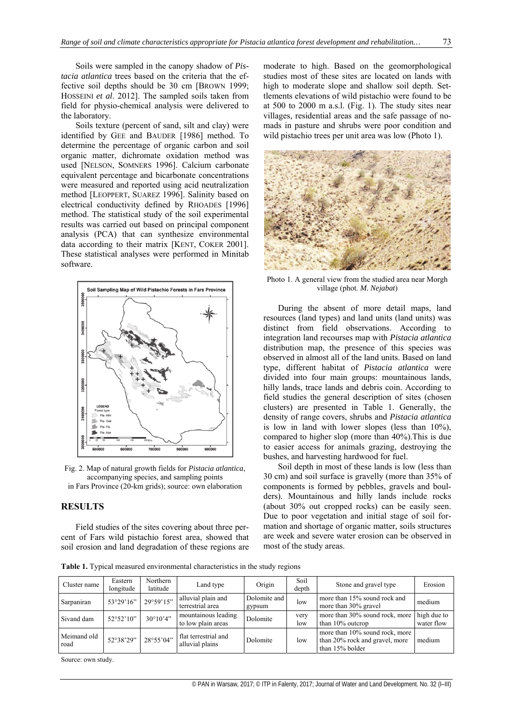Soils were sampled in the canopy shadow of *Pistacia atlantica* trees based on the criteria that the effective soil depths should be 30 cm [BROWN 1999; HOSSEINI *et al*. 2012]. The sampled soils taken from field for physio-chemical analysis were delivered to the laboratory.

Soils texture (percent of sand, silt and clay) were identified by GEE and BAUDER [1986] method. To determine the percentage of organic carbon and soil organic matter, dichromate oxidation method was used [NELSON, SOMNERS 1996]. Calcium carbonate equivalent percentage and bicarbonate concentrations were measured and reported using acid neutralization method [LEOPPERT, SUAREZ 1996]. Salinity based on electrical conductivity defined by RHOADES [1996] method. The statistical study of the soil experimental results was carried out based on principal component analysis (PCA) that can synthesize environmental data according to their matrix [KENT, COKER 2001]. These statistical analyses were performed in Minitab software.



Fig. 2. Map of natural growth fields for *Pistacia atlantica*, accompanying species, and sampling points in Fars Province (20-km grids); source: own elaboration

# **RESULTS**

Field studies of the sites covering about three percent of Fars wild pistachio forest area, showed that soil erosion and land degradation of these regions are moderate to high. Based on the geomorphological studies most of these sites are located on lands with high to moderate slope and shallow soil depth. Settlements elevations of wild pistachio were found to be at 500 to 2000 m a.s.l. (Fig. 1). The study sites near villages, residential areas and the safe passage of nomads in pasture and shrubs were poor condition and wild pistachio trees per unit area was low (Photo 1).



Photo 1. A general view from the studied area near Morgh village (phot. *M. Nejabat*)

During the absent of more detail maps, land resources (land types) and land units (land units) was distinct from field observations. According to integration land recourses map with *Pistacia atlantica* distribution map, the presence of this species was observed in almost all of the land units. Based on land type, different habitat of *Pistacia atlantica* were divided into four main groups: mountainous lands, hilly lands, trace lands and debris coin. According to field studies the general description of sites (chosen clusters) are presented in Table 1. Generally, the density of range covers, shrubs and *Pistacia atlantica* is low in land with lower slopes (less than 10%), compared to higher slop (more than 40%).This is due to easier access for animals grazing, destroying the bushes, and harvesting hardwood for fuel.

Soil depth in most of these lands is low (less than 30 cm) and soil surface is gravelly (more than 35% of components is formed by pebbles, gravels and boulders). Mountainous and hilly lands include rocks (about 30% out cropped rocks) can be easily seen. Due to poor vegetation and initial stage of soil formation and shortage of organic matter, soils structures are week and severe water erosion can be observed in most of the study areas.

**Table 1.** Typical measured environmental characteristics in the study regions

| Cluster name        | Eastern<br>longitude | Northern<br>latitude | Land type                                 | Origin                 | Soil<br>depth | Stone and gravel type                                                               | Erosion                   |
|---------------------|----------------------|----------------------|-------------------------------------------|------------------------|---------------|-------------------------------------------------------------------------------------|---------------------------|
| Sarpaniran          | 53°29'16"            | 29°59'15"            | alluvial plain and<br>terrestrial area    | Dolomite and<br>gypsum | low           | more than 15% sound rock and<br>more than 30% gravel                                | medium                    |
| Sivand dam          | $52^{\circ}52'10"$   | $30^{\circ}10'4"$    | mountainous leading<br>to low plain areas | Dolomite               | very<br>low   | more than 30% sound rock, more<br>than $10\%$ outcrop                               | high due to<br>water flow |
| Meimand old<br>road | 52°38'29"            | 28°55'04"            | flat terrestrial and<br>alluvial plains   | Dolomite               | low           | more than 10% sound rock, more<br>than 20% rock and gravel, more<br>than 15% bolder | medium                    |

Source: own study.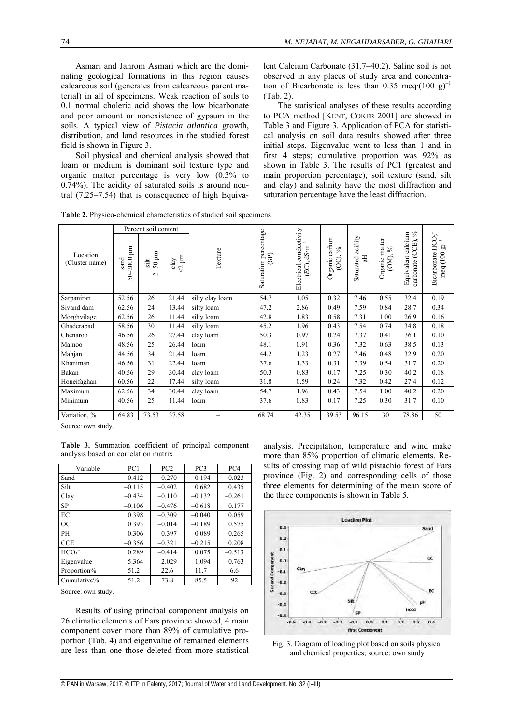Asmari and Jahrom Asmari which are the dominating geological formations in this region causes calcareous soil (generates from calcareous parent material) in all of specimens. Weak reaction of soils to 0.1 normal choleric acid shows the low bicarbonate and poor amount or nonexistence of gypsum in the soils. A typical view of *Pistacia atlantica* growth, distribution, and land resources in the studied forest field is shown in Figure 3.

Soil physical and chemical analysis showed that loam or medium is dominant soil texture type and organic matter percentage is very low (0.3% to 0.74%). The acidity of saturated soils is around neutral (7.25–7.54) that is consequence of high Equivalent Calcium Carbonate (31.7–40.2). Saline soil is not observed in any places of study area and concentration of Bicarbonate is less than 0.35 meq⋅(100 g)<sup>-1</sup> (Tab. 2).

The statistical analyses of these results according to PCA method [KENT, COKER 2001] are showed in Table 3 and Figure 3. Application of PCA for statistical analysis on soil data results showed after three initial steps, Eigenvalue went to less than 1 and in first 4 steps; cumulative proportion was 92% as shown in Table 3. The results of PC1 (greatest and main proportion percentage), soil texture (sand, silt and clay) and salinity have the most diffraction and saturation percentage have the least diffraction.

**Table 2.** Physico-chemical characteristics of studied soil specimens

|                            | Percent soil content               |                                       |                           |                 |                               |                                                       |                                      |                                  | $\%$                                                     | ່ຕ                                        |                                                  |
|----------------------------|------------------------------------|---------------------------------------|---------------------------|-----------------|-------------------------------|-------------------------------------------------------|--------------------------------------|----------------------------------|----------------------------------------------------------|-------------------------------------------|--------------------------------------------------|
| Location<br>(Cluster name) | E<br>2000<br>sand<br>$\frac{6}{5}$ | $\frac{\text{slit}}{50}$ µm<br>$\sim$ | $\approx$ $\mu$ m<br>clay | Texture         | Saturation percentage<br>(SP) | Electrical conductivity<br>$E$ C), dS·m <sup>-1</sup> | carbon<br>$\%$<br>$\circ$<br>Organic | acidity<br>$\rm _H$<br>Saturated | matter<br>$\frac{6}{9}$<br>(OM),<br>Organic <sub>1</sub> | Equivalent calcium<br>(CCE),<br>carbonate | HCO <sub>.</sub><br>ි<br>Bicarbonate<br>meq(100) |
| Sarpaniran                 | 52.56                              | 26                                    | 21.44                     | silty clay loam | 54.7                          | 1.05                                                  | 0.32                                 | 7.46                             | 0.55                                                     | 32.4                                      | 0.19                                             |
| Sivand dam                 | 62.56                              | 24                                    | 13.44                     | silty loam      | 47.2                          | 2.86                                                  | 0.49                                 | 7.59                             | 0.84                                                     | 28.7                                      | 0.34                                             |
| Morghvilage                | 62.56                              | 26                                    | 11.44                     | silty loam      | 42.8                          | 1.83                                                  | 0.58                                 | 7.31                             | 1.00                                                     | 26.9                                      | 0.16                                             |
| Ghaderabad                 | 58.56                              | 30                                    | 11.44                     | silty loam      | 45.2                          | 1.96                                                  | 0.43                                 | 7.54                             | 0.74                                                     | 34.8                                      | 0.18                                             |
| Chenaroo                   | 46.56                              | 26                                    | 27.44                     | clay loam       | 50.3                          | 0.97                                                  | 0.24                                 | 7.37                             | 0.41                                                     | 36.1                                      | 0.10                                             |
| Mamoo                      | 48.56                              | 25                                    | 26.44                     | loam            | 48.1                          | 0.91                                                  | 0.36                                 | 7.32                             | 0.63                                                     | 38.5                                      | 0.13                                             |
| Mahjan                     | 44.56                              | 34                                    | 21.44                     | loam            | 44.2                          | 1.23                                                  | 0.27                                 | 7.46                             | 0.48                                                     | 32.9                                      | 0.20                                             |
| Khaniman                   | 46.56                              | 31                                    | 22.44                     | loam            | 37.6                          | 1.33                                                  | 0.31                                 | 7.39                             | 0.54                                                     | 31.7                                      | 0.20                                             |
| Bakan                      | 40.56                              | 29                                    | 30.44                     | clay loam       | 50.3                          | 0.83                                                  | 0.17                                 | 7.25                             | 0.30                                                     | 40.2                                      | 0.18                                             |
| Honeifaghan                | 60.56                              | 22                                    | 17.44                     | silty loam      | 31.8                          | 0.59                                                  | 0.24                                 | 7.32                             | 0.42                                                     | 27.4                                      | 0.12                                             |
| Maximum                    | 62.56                              | 34                                    | 30.44                     | clay loam       | 54.7                          | 1.96                                                  | 0.43                                 | 7.54                             | 1.00                                                     | 40.2                                      | 0.20                                             |
| Minimum                    | 40.56                              | 25                                    | 11.44                     | loam            | 37.6                          | 0.83                                                  | 0.17                                 | 7.25                             | 0.30                                                     | 31.7                                      | 0.10                                             |
| Variation, %               | 64.83                              | 73.53                                 | 37.58                     |                 | 68.74                         | 42.35                                                 | 39.53                                | 96.15                            | 30                                                       | 78.86                                     | 50                                               |

Source: own study.

**Table 3.** Summation coefficient of principal component analysis based on correlation matrix

| Variable         | PC1      | PC2      | PC <sub>3</sub> | PC <sub>4</sub> |  |
|------------------|----------|----------|-----------------|-----------------|--|
| Sand             | 0.412    | 0.270    | $-0.194$        | 0.023           |  |
| Silt             | $-0.115$ | $-0.402$ | 0.682           | 0.435           |  |
| Clay             | $-0.434$ | $-0.110$ | $-0.132$        | $-0.261$        |  |
| <b>SP</b>        | $-0.106$ | $-0.476$ | $-0.618$        | 0.177           |  |
| EC               | 0.398    | $-0.309$ | $-0.040$        | 0.059           |  |
| OC               | 0.393    | $-0.014$ | $-0.189$        | 0.575           |  |
| PH               | 0.306    | $-0.397$ | 0.089           | $-0.265$        |  |
| <b>CCE</b>       | $-0.356$ | $-0.321$ | $-0.215$        | 0.208           |  |
| HCO <sub>3</sub> | 0.289    | $-0.414$ | 0.075           | $-0.513$        |  |
| Eigenvalue       | 5.364    | 2.029    | 1.094           | 0.763           |  |
| Proportion%      | 51.2     | 22.6     | 11.7            | 6.6             |  |
| Cumulative%      | 51.2     | 73.8     | 85.5            | 92              |  |

Source: own study.

Results of using principal component analysis on 26 climatic elements of Fars province showed, 4 main component cover more than 89% of cumulative proportion (Tab. 4) and eigenvalue of remained elements are less than one those deleted from more statistical analysis. Precipitation, temperature and wind make more than 85% proportion of climatic elements. Results of crossing map of wild pistachio forest of Fars province (Fig. 2) and corresponding cells of those three elements for determining of the mean score of the three components is shown in Table 5.



Fig. 3. Diagram of loading plot based on soils physical and chemical properties; source: own study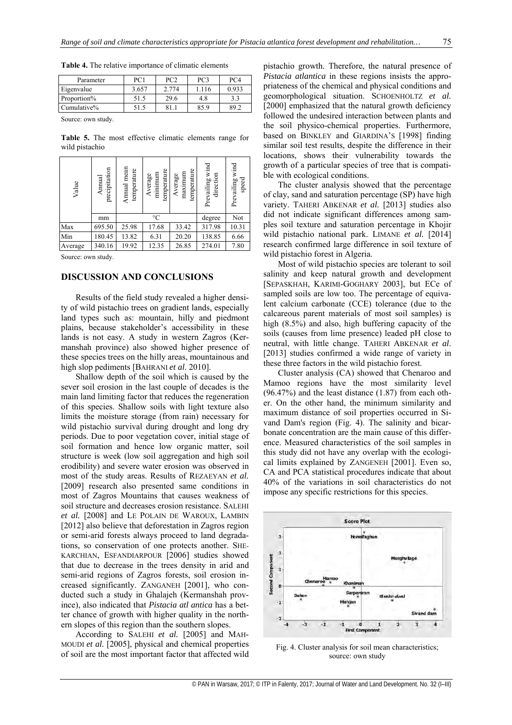**Table 4.** The relative importance of climatic elements

| Parameter            | PC <sub>1</sub> | PC2   | PC <sub>3</sub> | PC <sub>4</sub> |  |
|----------------------|-----------------|-------|-----------------|-----------------|--|
| Eigenvalue           | 3.657           | 2.774 | 1.116           | 0.933           |  |
| Proportion%          | 51.5            | 29.6  | 4.8             | 3.3             |  |
| Cumulative%          | 51.5            | 81.1  | 85.9            | 89.2            |  |
| Comment and the fact |                 |       |                 |                 |  |

Source: own study.

**Table 5.** The most effective climatic elements range for wild pistachio

| Value   | precipitation<br>Amnual | Annual mean<br>temperature | temperature<br>temperature<br>maximum<br>minimum<br>Average<br>Average |        | Prevailing wind<br>direction | Prevailing wind<br>speed |
|---------|-------------------------|----------------------------|------------------------------------------------------------------------|--------|------------------------------|--------------------------|
|         | mm                      |                            | $\rm ^{\circ}C$                                                        | degree | Not                          |                          |
| Max     | 695.50                  | 25.98                      | 17.68                                                                  | 33.42  | 317.98                       | 10.31                    |
| Min     | 180.45                  | 13.82                      | 6.31                                                                   | 20.20  | 138.85                       | 6.66                     |
| Average | 340.16                  | 19.92                      | 12.35                                                                  | 26.85  | 274.01                       | 7.80                     |

Source: own study.

# **DISCUSSION AND CONCLUSIONS**

Results of the field study revealed a higher density of wild pistachio trees on gradient lands, especially land types such as: mountain, hilly and piedmont plains, because stakeholder's accessibility in these lands is not easy. A study in western Zagros (Kermanshah province) also showed higher presence of these species trees on the hilly areas, mountainous and high slop pediments [BAHRANI *et al*. 2010].

Shallow depth of the soil which is caused by the sever soil erosion in the last couple of decades is the main land limiting factor that reduces the regeneration of this species. Shallow soils with light texture also limits the moisture storage (from rain) necessary for wild pistachio survival during drought and long dry periods. Due to poor vegetation cover, initial stage of soil formation and hence low organic matter, soil structure is week (low soil aggregation and high soil erodibility) and severe water erosion was observed in most of the study areas. Results of REZAEYAN *et al.*  [2009] research also presented same conditions in most of Zagros Mountains that causes weakness of soil structure and decreases erosion resistance. SALEHI *et al.* [2008] and LE POLAIN DE WAROUX, LAMBIN [2012] also believe that deforestation in Zagros region or semi-arid forests always proceed to land degradations, so conservation of one protects another. SHE-KARCHIAN, ESFANDIARPOUR [2006] studies showed that due to decrease in the trees density in arid and semi-arid regions of Zagros forests, soil erosion increased significantly. ZANGANEH [2001], who conducted such a study in Ghalajeh (Kermanshah province), also indicated that *Pistacia atl antica* has a better chance of growth with higher quality in the northern slopes of this region than the southern slopes.

According to SALEHI et al. [2005] and MAH-MOUDI *et al.* [2005], physical and chemical properties of soil are the most important factor that affected wild pistachio growth. Therefore, the natural presence of *Pistacia atlantica* in these regions insists the appropriateness of the chemical and physical conditions and geomorphological situation. SCHOENHOLTZ *et al.*  [2000] emphasized that the natural growth deficiency followed the undesired interaction between plants and the soil physico-chemical properties. Furthermore, based on BINKLEY and GIARDINA'S [1998] finding similar soil test results, despite the difference in their locations, shows their vulnerability towards the growth of a particular species of tree that is compatible with ecological conditions.

The cluster analysis showed that the percentage of clay, sand and saturation percentage (SP) have high variety. TAHERI ABKENAR *et al.* [2013] studies also did not indicate significant differences among samples soil texture and saturation percentage in Khojir wild pistachio national park. LIMANE *et al.* [2014] research confirmed large difference in soil texture of wild pistachio forest in Algeria.

Most of wild pistachio species are tolerant to soil salinity and keep natural growth and development [SEPASKHAH, KARIMI-GOGHARY 2003], but ECe of sampled soils are low too. The percentage of equivalent calcium carbonate (CCE) tolerance (due to the calcareous parent materials of most soil samples) is high (8.5%) and also, high buffering capacity of the soils (causes from lime presence) leaded pH close to neutral, with little change. TAHERI ABKENAR *et al*. [2013] studies confirmed a wide range of variety in these three factors in the wild pistachio forest.

Cluster analysis (CA) showed that Chenaroo and Mamoo regions have the most similarity level (96.47%) and the least distance (1.87) from each other. On the other hand, the minimum similarity and maximum distance of soil properties occurred in Sivand Dam's region (Fig. 4). The salinity and bicarbonate concentration are the main cause of this difference. Measured characteristics of the soil samples in this study did not have any overlap with the ecological limits explained by ZANGENEH [2001]. Even so, CA and PCA statistical procedures indicate that about 40% of the variations in soil characteristics do not impose any specific restrictions for this species.



Fig. 4. Cluster analysis for soil mean characteristics; source: own study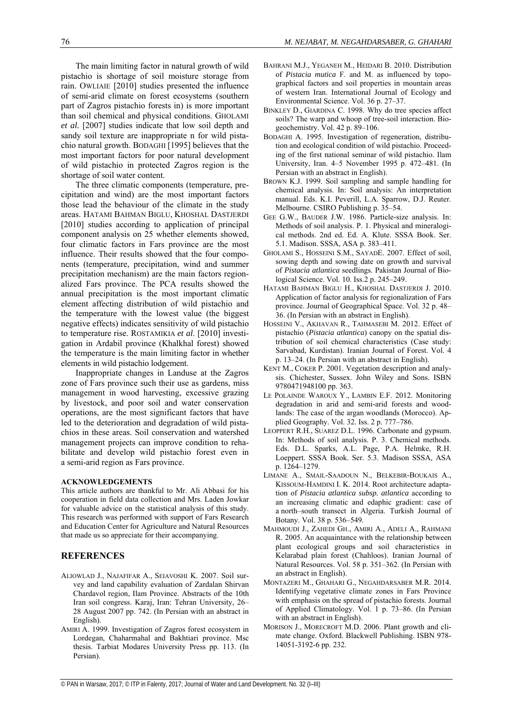The main limiting factor in natural growth of wild pistachio is shortage of soil moisture storage from rain. OWLIAIE [2010] studies presented the influence of semi-arid climate on forest ecosystems (southern part of Zagros pistachio forests in) is more important than soil chemical and physical conditions. GHOLAMI *et al.* [2007] studies indicate that low soil depth and sandy soil texture are inappropriate n for wild pistachio natural growth. BODAGHI [1995] believes that the most important factors for poor natural development of wild pistachio in protected Zagros region is the shortage of soil water content.

The three climatic components (temperature, precipitation and wind) are the most important factors those lead the behaviour of the climate in the study areas. HATAMI BAHMAN BIGLU, KHOSHAL DASTJERDI [2010] studies according to application of principal component analysis on 25 whether elements showed, four climatic factors in Fars province are the most influence. Their results showed that the four components (temperature, precipitation, wind and summer precipitation mechanism) are the main factors regionalized Fars province. The PCA results showed the annual precipitation is the most important climatic element affecting distribution of wild pistachio and the temperature with the lowest value (the biggest negative effects) indicates sensitivity of wild pistachio to temperature rise. ROSTAMIKIA *et al*. [2010] investigation in Ardabil province (Khalkhal forest) showed the temperature is the main limiting factor in whether elements in wild pistachio lodgement.

Inappropriate changes in Landuse at the Zagros zone of Fars province such their use as gardens, miss management in wood harvesting, excessive grazing by livestock, and poor soil and water conservation operations, are the most significant factors that have led to the deterioration and degradation of wild pistachios in these areas. Soil conservation and watershed management projects can improve condition to rehabilitate and develop wild pistachio forest even in a semi-arid region as Fars province.

#### **ACKNOWLEDGEMENTS**

This article authors are thankful to Mr. Ali Abbasi for his cooperation in field data collection and Mrs. Laden Jowkar for valuable advice on the statistical analysis of this study. This research was performed with support of Fars Research and Education Center for Agriculture and Natural Resources that made us so appreciate for their accompanying.

# **REFERENCES**

- ALIOWLAD J., NAJAFIFAR A., SEIAVOSHI K. 2007. Soil survey and land capability evaluation of Zardalan Shirvan Chardavol region, Ilam Province. Abstracts of the 10th Iran soil congress. Karaj, Iran: Tehran University, 26– 28 August 2007 pp. 742. (In Persian with an abstract in English).
- AMIRI A. 1999. Investigation of Zagros forest ecosystem in Lordegan, Chaharmahal and Bakhtiari province. Msc thesis. Tarbiat Modares University Press pp. 113. (In Persian).
- BAHRANI M.J., YEGANEH M., HEIDARI B. 2010. Distribution of *Pistacia mutica* F. and M. as influenced by topographical factors and soil properties in mountain areas of western Iran. International Journal of Ecology and Environmental Science. Vol. 36 p. 27–37.
- BINKLEY D., GIARDINA C. 1998. Why do tree species affect soils? The warp and whoop of tree-soil interaction. Biogeochemistry. Vol. 42 p. 89–106.
- BODAGHI A. 1995. Investigation of regeneration, distribution and ecological condition of wild pistachio. Proceeding of the first national seminar of wild pistachio. Ilam University, Iran. 4–5 November 1995 p. 472–481. (In Persian with an abstract in English).
- BROWN K.J. 1999. Soil sampling and sample handling for chemical analysis. In: Soil analysis: An interpretation manual. Eds. K.I. Peverill, L.A. Sparrow, D.J. Reuter. Melbourne. CSIRO Publishing p. 35–54.
- GEE G.W., BAUDER J.W. 1986. Particle-size analysis. In: Methods of soil analysis. P. 1. Physical and mineralogical methods. 2nd ed. Ed. A. Klute. SSSA Book. Ser. 5.1. Madison. SSSA, ASA p. 383–411.
- GHOLAMI S., HOSSEINI S.M., SAYADE. 2007. Effect of soil, sowing depth and sowing date on growth and survival of *Pistacia atlantica* seedlings. Pakistan Journal of Biological Science. Vol. 10. Iss.2 p. 245–249.
- HATAMI BAHMAN BIGLU H., KHOSHAL DASTJERDI J. 2010. Application of factor analysis for regionalization of Fars province. Journal of Geographical Space. Vol. 32 p. 48– 36. (In Persian with an abstract in English).
- HOSSEINI V., AKHAVAN R., TAHMASEBI M. 2012. Effect of pistachio (*Pistacia atlantica*) canopy on the spatial distribution of soil chemical characteristics (Case study: Sarvabad, Kurdistan). Iranian Journal of Forest. Vol. 4 p. 13–24. (In Persian with an abstract in English).
- KENT M., COKER P. 2001. Vegetation description and analysis. Chichester, Sussex. John Wiley and Sons. ISBN 9780471948100 pp. 363.
- LE POLAINDE WAROUX Y., LAMBIN E.F. 2012. Monitoring degradation in arid and semi-arid forests and woodlands: The case of the argan woodlands (Morocco). Applied Geography. Vol. 32. Iss. 2 p. 777–786.
- LEOPPERT R.H., SUAREZ D.L. 1996. Carbonate and gypsum. In: Methods of soil analysis. P. 3. Chemical methods. Eds. D.L. Sparks, A.L. Page, P.A. Helmke, R.H. Loeppert. SSSA Book. Ser. 5.3. Madison SSSA, ASA p. 1264–1279.
- LIMANE A., SMAIL-SAADOUN N., BELKEBIR-BOUKAIS A., KISSOUM-HAMDINI I. K. 2014. Root architecture adaptation of *Pistacia atlantica subsp. atlantica* according to an increasing climatic and edaphic gradient: case of a north–south transect in Algeria. Turkish Journal of Botany. Vol. 38 p. 536–549.
- MAHMOUDI J., ZAHEDI GH., AMIRI A., ADELI A., RAHMANI R. 2005. An acquaintance with the relationship between plant ecological groups and soil characteristics in Kelarabad plain forest (Chahloos). Iranian Journal of Natural Resources. Vol. 58 p. 351–362. (In Persian with an abstract in English).
- MONTAZERI M., GHAHARI G., NEGAHDARSABER M.R. 2014. Identifying vegetative climate zones in Fars Province with emphasis on the spread of pistachio forests. Journal of Applied Climatology. Vol. 1 p. 73–86. (In Persian with an abstract in English).
- MORISON J., MORECROFT M.D. 2006. Plant growth and climate change. Oxford. Blackwell Publishing. ISBN 978- 14051-3192-6 pp. 232.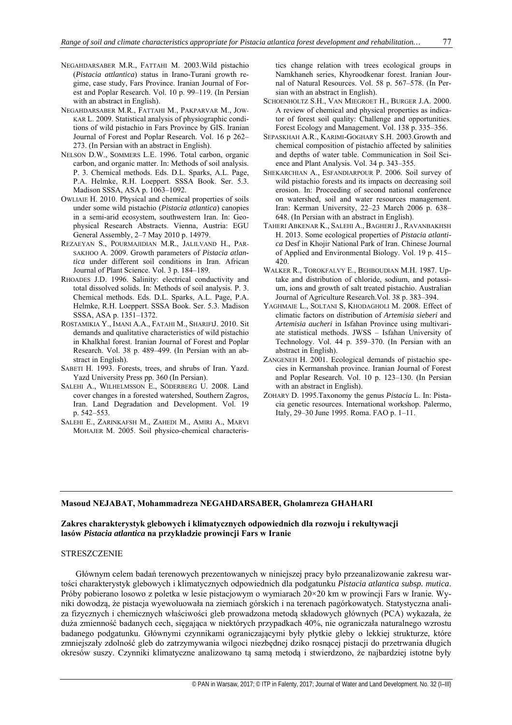- NEGAHDARSABER M.R., FATTAHI M. 2003.Wild pistachio (*Pistacia attlantica*) status in Irano-Turani growth regime, case study, Fars Province. Iranian Journal of Forest and Poplar Research. Vol. 10 p. 99–119. (In Persian with an abstract in English).
- NEGAHDARSABER M.R., FATTAHI M., PAKPARVAR M., JOW-KAR L. 2009. Statistical analysis of physiographic conditions of wild pistachio in Fars Province by GIS. Iranian Journal of Forest and Poplar Research. Vol. 16 p 262– 273. (In Persian with an abstract in English).
- NELSON D.W., SOMMERS L.E. 1996. Total carbon, organic carbon, and organic matter. In: Methods of soil analysis. P. 3. Chemical methods. Eds. D.L. Sparks, A.L. Page, P.A. Helmke, R.H. Loeppert. SSSA Book. Ser. 5.3. Madison SSSA, ASA p. 1063–1092.
- OWLIAIE H. 2010. Physical and chemical properties of soils under some wild pistachio (*Pistacia atlantica*) canopies in a semi-arid ecosystem, southwestern Iran. In: Geophysical Research Abstracts. Vienna, Austria: EGU General Assembly, 2–7 May 2010 p. 14979.
- REZAEYAN S., POURMAJIDIAN M.R., JALILVAND H., PAR-SAKHOO A. 2009. Growth parameters of *Pistacia atlantica* under different soil conditions in Iran. African Journal of Plant Science. Vol. 3 p. 184–189.
- RHOADES J.D. 1996. Salinity: electrical conductivity and total dissolved solids. In: Methods of soil analysis. P. 3. Chemical methods. Eds. D.L. Sparks, A.L. Page, P.A. Helmke, R.H. Loeppert. SSSA Book. Ser. 5.3. Madison SSSA, ASA p. 1351–1372.
- ROSTAMIKIA Y., IMANI A.A., FATAHI M., SHARIFIJ. 2010. Sit demands and qualitative characteristics of wild pistachio in Khalkhal forest. Iranian Journal of Forest and Poplar Research. Vol. 38 p. 489–499. (In Persian with an abstract in English).
- SABETI H. 1993. Forests, trees, and shrubs of Iran. Yazd. Yazd University Press pp. 360 (In Persian).
- SALEHI A., WILHELMSSON E., SÖDERBERG U. 2008. Land cover changes in a forested watershed, Southern Zagros, Iran. Land Degradation and Development. Vol. 19 p. 542–553.
- SALEHI E., ZARINKAFSH M., ZAHEDI M., AMIRI A., MARVI MOHAJER M. 2005. Soil physico-chemical characteris-

tics change relation with trees ecological groups in Namkhaneh series, Khyroodkenar forest. Iranian Journal of Natural Resources. Vol. 58 p. 567–578. (In Persian with an abstract in English).

- SCHOENHOLTZ S.H., VAN MIEGROET H., BURGER J.A. 2000. A review of chemical and physical properties as indicator of forest soil quality: Challenge and opportunities. Forest Ecology and Management. Vol. 138 p. 335–356.
- SEPASKHAH A.R., KARIMI-GOGHARY S.H. 2003.Growth and chemical composition of pistachio affected by salinities and depths of water table. Communication in Soil Science and Plant Analysis. Vol. 34 p. 343–355.
- SHEKARCHIAN A., ESFANDIARPOUR P. 2006. Soil survey of wild pistachio forests and its impacts on decreasing soil erosion. In: Proceeding of second national conference on watershed, soil and water resources management. Iran: Kerman University, 22–23 March 2006 p. 638– 648. (In Persian with an abstract in English).
- TAHERI ABKENAR K., SALEHI A., BAGHERI J., RAVANBAKHSH H. 2013. Some ecological properties of *Pistacia atlantica* Desf in Khojir National Park of Iran. Chinese Journal of Applied and Environmental Biology. Vol. 19 p. 415– 420.
- WALKER R., TOROKFALVY E., BEHBOUDIAN M.H. 1987. Uptake and distribution of chloride, sodium, and potassium, ions and growth of salt treated pistachio. Australian Journal of Agriculture Research.Vol. 38 p. 383–394.
- YAGHMAIE L., SOLTANI S, KHODAGHOLI M. 2008. Effect of climatic factors on distribution of *Artemisia sieberi* and *Artemisia aucheri* in Isfahan Province using multivariate statistical methods. JWSS – Isfahan University of Technology. Vol. 44 p. 359–370. (In Persian with an abstract in English).
- ZANGENEH H. 2001. Ecological demands of pistachio species in Kermanshah province. Iranian Journal of Forest and Poplar Research. Vol. 10 p. 123–130. (In Persian with an abstract in English).
- ZOHARY D. 1995.Taxonomy the genus *Pistacia* L. In: Pistacia genetic resources. International workshop. Palermo, Italy, 29–30 June 1995. Roma. FAO p. 1–11.

# **Masoud NEJABAT, Mohammadreza NEGAHDARSABER, Gholamreza GHAHARI**

# **Zakres charakterystyk glebowych i klimatycznych odpowiednich dla rozwoju i rekultywacji lasów** *Pistacia atlantica* **na przykładzie prowincji Fars w Iranie**

#### **STRESZCZENIE**

Głównym celem badań terenowych prezentowanych w niniejszej pracy było przeanalizowanie zakresu wartości charakterystyk glebowych i klimatycznych odpowiednich dla podgatunku *Pistacia atlantica subsp. mutica*. Próby pobierano losowo z poletka w lesie pistacjowym o wymiarach 20×20 km w prowincji Fars w Iranie. Wyniki dowodzą, że pistacja wyewoluowała na ziemiach górskich i na terenach pagórkowatych. Statystyczna analiza fizycznych i chemicznych właściwości gleb prowadzona metodą składowych głównych (PCA) wykazała, że duża zmienność badanych cech, sięgająca w niektórych przypadkach 40%, nie ograniczała naturalnego wzrostu badanego podgatunku. Głównymi czynnikami ograniczającymi były płytkie gleby o lekkiej strukturze, które zmniejszały zdolność gleb do zatrzymywania wilgoci niezbędnej dziko rosnącej pistacji do przetrwania długich okresów suszy. Czynniki klimatyczne analizowano tą samą metodą i stwierdzono, że najbardziej istotne były